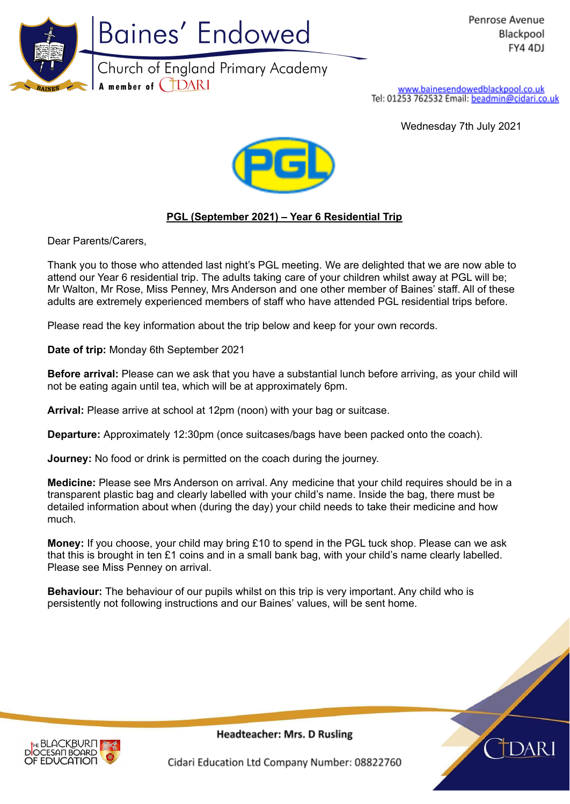

www.bainesendowedblackpool.co.uk<br>Tel: 01253 762532 Email: beadmin@cidari.co.uk

Wednesday 7th July 2021



## **PGL (September 2021) – Year 6 Residential Trip**

Dear Parents/Carers,

Thank you to those who attended last night's PGL meeting. We are delighted that we are now able to attend our Year 6 residential trip. The adults taking care of your children whilst away at PGL will be; Mr Walton, Mr Rose, Miss Penney, Mrs Anderson and one other member of Baines' staff. All of these adults are extremely experienced members of staff who have attended PGL residential trips before.

Please read the key information about the trip below and keep for your own records.

**Date of trip:** Monday 6th September 2021

**Before arrival:** Please can we ask that you have a substantial lunch before arriving, as your child will not be eating again until tea, which will be at approximately 6pm.

**Arrival:** Please arrive at school at 12pm (noon) with your bag or suitcase.

**Departure:** Approximately 12:30pm (once suitcases/bags have been packed onto the coach).

**Journey:** No food or drink is permitted on the coach during the journey.

**Medicine:** Please see Mrs Anderson on arrival. Any medicine that your child requires should be in a transparent plastic bag and clearly labelled with your child's name. Inside the bag, there must be detailed information about when (during the day) your child needs to take their medicine and how much.

**Money:** If you choose, your child may bring £10 to spend in the PGL tuck shop. Please can we ask that this is brought in ten £1 coins and in a small bank bag, with your child's name clearly labelled. Please see Miss Penney on arrival.

**Behaviour:** The behaviour of our pupils whilst on this trip is very important. Any child who is persistently not following instructions and our Baines' values, will be sent home.





**Headteacher: Mrs. D Rusling** 

Cidari Education Ltd Company Number: 08822760